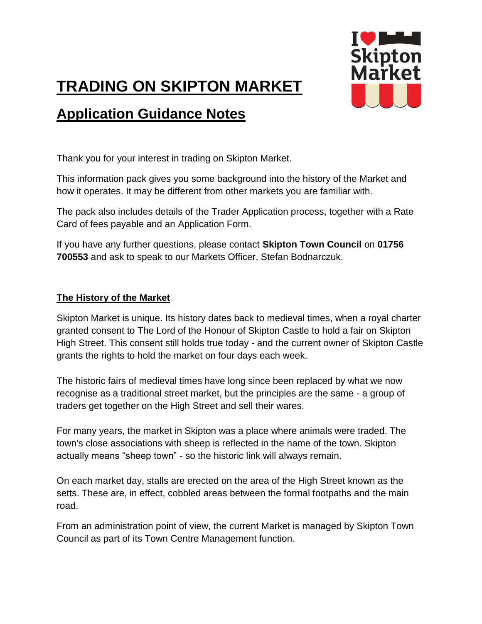# **TRADING ON SKIPTON MARKET**

# **Application Guidance Notes**



Thank you for your interest in trading on Skipton Market.

This information pack gives you some background into the history of the Market and how it operates. It may be different from other markets you are familiar with.

The pack also includes details of the Trader Application process, together with a Rate Card of fees payable and an Application Form.

If you have any further questions, please contact **Skipton Town Council** on **01756 700553** and ask to speak to our Markets Officer, Stefan Bodnarczuk.

## **The History of the Market**

Skipton Market is unique. Its history dates back to medieval times, when a royal charter granted consent to The Lord of the Honour of Skipton Castle to hold a fair on Skipton High Street. This consent still holds true today - and the current owner of Skipton Castle grants the rights to hold the market on four days each week.

The historic fairs of medieval times have long since been replaced by what we now recognise as a traditional street market, but the principles are the same - a group of traders get together on the High Street and sell their wares.

For many years, the market in Skipton was a place where animals were traded. The town's close associations with sheep is reflected in the name of the town. Skipton actually means "sheep town" - so the historic link will always remain.

On each market day, stalls are erected on the area of the High Street known as the setts. These are, in effect, cobbled areas between the formal footpaths and the main road.

From an administration point of view, the current Market is managed by Skipton Town Council as part of its Town Centre Management function.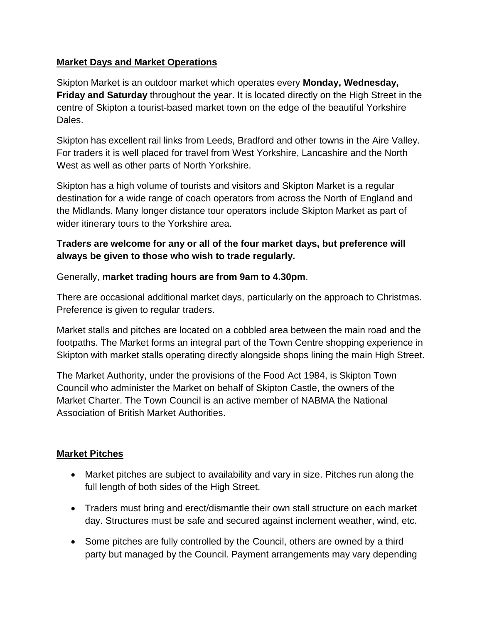#### **Market Days and Market Operations**

Skipton Market is an outdoor market which operates every **Monday, Wednesday, Friday and Saturday** throughout the year. It is located directly on the High Street in the centre of Skipton a tourist-based market town on the edge of the beautiful Yorkshire Dales.

Skipton has excellent rail links from Leeds, Bradford and other towns in the Aire Valley. For traders it is well placed for travel from West Yorkshire, Lancashire and the North West as well as other parts of North Yorkshire.

Skipton has a high volume of tourists and visitors and Skipton Market is a regular destination for a wide range of coach operators from across the North of England and the Midlands. Many longer distance tour operators include Skipton Market as part of wider itinerary tours to the Yorkshire area.

# **Traders are welcome for any or all of the four market days, but preference will always be given to those who wish to trade regularly.**

Generally, **market trading hours are from 9am to 4.30pm**.

There are occasional additional market days, particularly on the approach to Christmas. Preference is given to regular traders.

Market stalls and pitches are located on a cobbled area between the main road and the footpaths. The Market forms an integral part of the Town Centre shopping experience in Skipton with market stalls operating directly alongside shops lining the main High Street.

The Market Authority, under the provisions of the Food Act 1984, is Skipton Town Council who administer the Market on behalf of Skipton Castle, the owners of the Market Charter. The Town Council is an active member of NABMA the National Association of British Market Authorities.

#### **Market Pitches**

- Market pitches are subject to availability and vary in size. Pitches run along the full length of both sides of the High Street.
- Traders must bring and erect/dismantle their own stall structure on each market day. Structures must be safe and secured against inclement weather, wind, etc.
- Some pitches are fully controlled by the Council, others are owned by a third party but managed by the Council. Payment arrangements may vary depending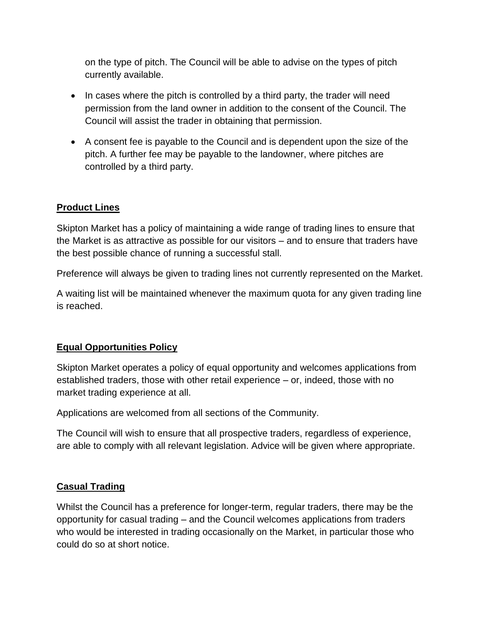on the type of pitch. The Council will be able to advise on the types of pitch currently available.

- In cases where the pitch is controlled by a third party, the trader will need permission from the land owner in addition to the consent of the Council. The Council will assist the trader in obtaining that permission.
- A consent fee is payable to the Council and is dependent upon the size of the pitch. A further fee may be payable to the landowner, where pitches are controlled by a third party.

## **Product Lines**

Skipton Market has a policy of maintaining a wide range of trading lines to ensure that the Market is as attractive as possible for our visitors – and to ensure that traders have the best possible chance of running a successful stall.

Preference will always be given to trading lines not currently represented on the Market.

A waiting list will be maintained whenever the maximum quota for any given trading line is reached.

#### **Equal Opportunities Policy**

Skipton Market operates a policy of equal opportunity and welcomes applications from established traders, those with other retail experience – or, indeed, those with no market trading experience at all.

Applications are welcomed from all sections of the Community.

The Council will wish to ensure that all prospective traders, regardless of experience, are able to comply with all relevant legislation. Advice will be given where appropriate.

#### **Casual Trading**

Whilst the Council has a preference for longer-term, regular traders, there may be the opportunity for casual trading – and the Council welcomes applications from traders who would be interested in trading occasionally on the Market, in particular those who could do so at short notice.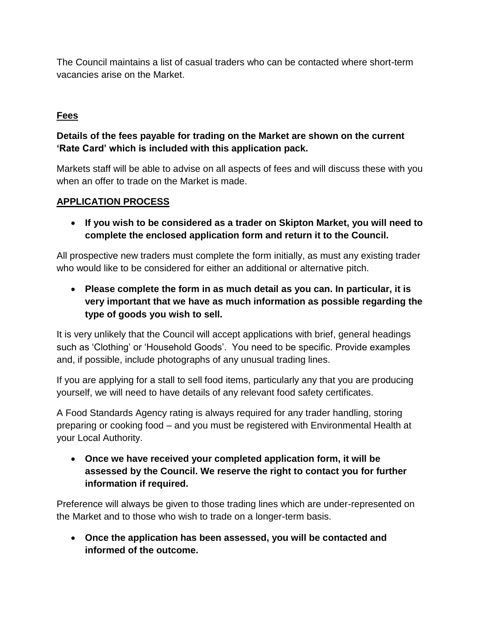The Council maintains a list of casual traders who can be contacted where short-term vacancies arise on the Market.

# **Fees**

# **Details of the fees payable for trading on the Market are shown on the current 'Rate Card' which is included with this application pack.**

Markets staff will be able to advise on all aspects of fees and will discuss these with you when an offer to trade on the Market is made.

#### **APPLICATION PROCESS**

 **If you wish to be considered as a trader on Skipton Market, you will need to complete the enclosed application form and return it to the Council.**

All prospective new traders must complete the form initially, as must any existing trader who would like to be considered for either an additional or alternative pitch.

 **Please complete the form in as much detail as you can. In particular, it is very important that we have as much information as possible regarding the type of goods you wish to sell.**

It is very unlikely that the Council will accept applications with brief, general headings such as 'Clothing' or 'Household Goods'. You need to be specific. Provide examples and, if possible, include photographs of any unusual trading lines.

If you are applying for a stall to sell food items, particularly any that you are producing yourself, we will need to have details of any relevant food safety certificates.

A Food Standards Agency rating is always required for any trader handling, storing preparing or cooking food – and you must be registered with Environmental Health at your Local Authority.

 **Once we have received your completed application form, it will be assessed by the Council. We reserve the right to contact you for further information if required.**

Preference will always be given to those trading lines which are under-represented on the Market and to those who wish to trade on a longer-term basis.

 **Once the application has been assessed, you will be contacted and informed of the outcome.**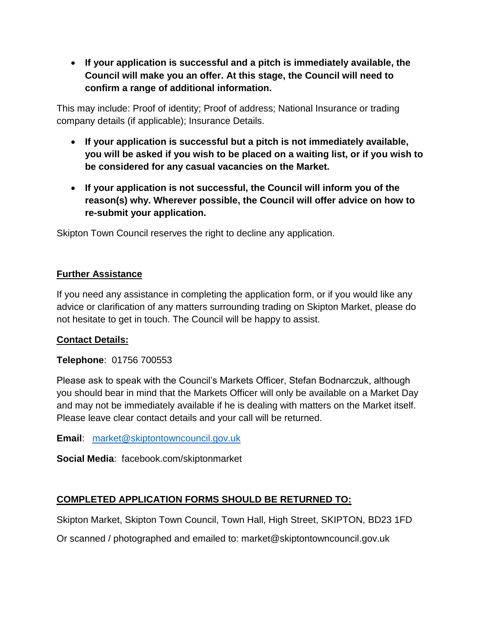**If your application is successful and a pitch is immediately available, the Council will make you an offer. At this stage, the Council will need to confirm a range of additional information.**

This may include: Proof of identity; Proof of address; National Insurance or trading company details (if applicable); Insurance Details.

- **If your application is successful but a pitch is not immediately available, you will be asked if you wish to be placed on a waiting list, or if you wish to be considered for any casual vacancies on the Market.**
- **If your application is not successful, the Council will inform you of the reason(s) why. Wherever possible, the Council will offer advice on how to re-submit your application.**

Skipton Town Council reserves the right to decline any application.

## **Further Assistance**

If you need any assistance in completing the application form, or if you would like any advice or clarification of any matters surrounding trading on Skipton Market, please do not hesitate to get in touch. The Council will be happy to assist.

# **Contact Details:**

**Telephone**: 01756 700553

Please ask to speak with the Council's Markets Officer, Stefan Bodnarczuk, although you should bear in mind that the Markets Officer will only be available on a Market Day and may not be immediately available if he is dealing with matters on the Market itself. Please leave clear contact details and your call will be returned.

**Email**: [market@skiptontowncouncil.gov.uk](mailto:market@skiptontowncouncil.gov.uk)

**Social Media**: facebook.com/skiptonmarket

# **COMPLETED APPLICATION FORMS SHOULD BE RETURNED TO:**

Skipton Market, Skipton Town Council, Town Hall, High Street, SKIPTON, BD23 1FD

Or scanned / photographed and emailed to: market@skiptontowncouncil.gov.uk